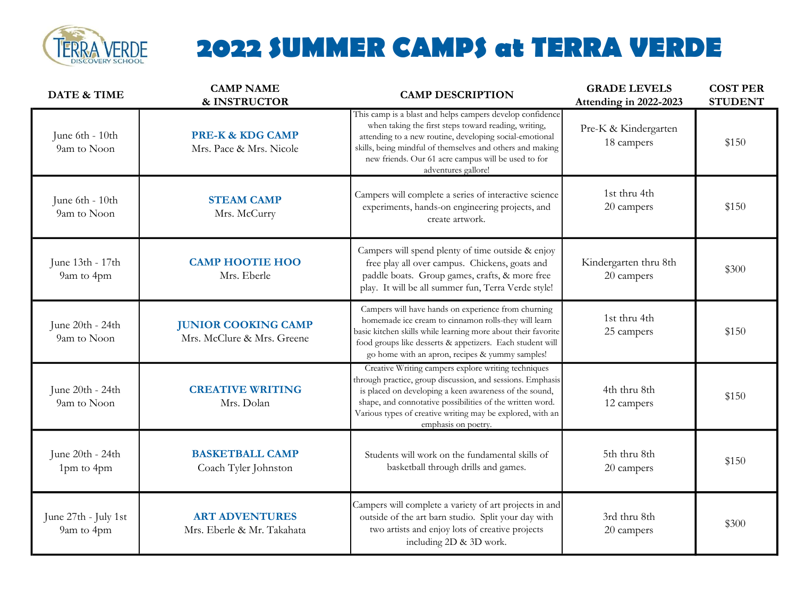

## 2022 SUMMER CAMPS at TERRA VERDE

| <b>DATE &amp; TIME</b>             | <b>CAMP NAME</b><br>& INSTRUCTOR                         | <b>CAMP DESCRIPTION</b>                                                                                                                                                                                                                                                                                                       | <b>GRADE LEVELS</b><br>Attending in 2022-2023 | <b>COST PER</b><br><b>STUDENT</b> |
|------------------------------------|----------------------------------------------------------|-------------------------------------------------------------------------------------------------------------------------------------------------------------------------------------------------------------------------------------------------------------------------------------------------------------------------------|-----------------------------------------------|-----------------------------------|
| June 6th - 10th<br>9am to Noon     | <b>PRE-K &amp; KDG CAMP</b><br>Mrs. Pace & Mrs. Nicole   | This camp is a blast and helps campers develop confidence<br>when taking the first steps toward reading, writing,<br>attending to a new routine, developing social-emotional<br>skills, being mindful of themselves and others and making<br>new friends. Our 61 acre campus will be used to for<br>adventures gallore!       | Pre-K & Kindergarten<br>18 campers            | \$150                             |
| June 6th - 10th<br>9am to Noon     | <b>STEAM CAMP</b><br>Mrs. McCurry                        | Campers will complete a series of interactive science<br>experiments, hands-on engineering projects, and<br>create artwork.                                                                                                                                                                                                   | 1st thru 4th<br>20 campers                    | \$150                             |
| June 13th - 17th<br>9am to 4pm     | <b>CAMP HOOTIE HOO</b><br>Mrs. Eberle                    | Campers will spend plenty of time outside & enjoy<br>free play all over campus. Chickens, goats and<br>paddle boats. Group games, crafts, & more free<br>play. It will be all summer fun, Terra Verde style!                                                                                                                  | Kindergarten thru 8th<br>20 campers           | \$300                             |
| June 20th - 24th<br>9am to Noon    | <b>JUNIOR COOKING CAMP</b><br>Mrs. McClure & Mrs. Greene | Campers will have hands on experience from churning<br>homemade ice cream to cinnamon rolls-they will learn<br>basic kitchen skills while learning more about their favorite<br>food groups like desserts & appetizers. Each student will<br>go home with an apron, recipes & yummy samples!                                  | 1st thru 4th<br>25 campers                    | \$150                             |
| June 20th - 24th<br>9am to Noon    | <b>CREATIVE WRITING</b><br>Mrs. Dolan                    | Creative Writing campers explore writing techniques<br>through practice, group discussion, and sessions. Emphasis<br>is placed on developing a keen awareness of the sound,<br>shape, and connotative possibilities of the written word.<br>Various types of creative writing may be explored, with an<br>emphasis on poetry. | 4th thru 8th<br>12 campers                    | \$150                             |
| June 20th - 24th<br>1pm to 4pm     | <b>BASKETBALL CAMP</b><br>Coach Tyler Johnston           | Students will work on the fundamental skills of<br>basketball through drills and games.                                                                                                                                                                                                                                       | 5th thru 8th<br>20 campers                    | \$150                             |
| June 27th - July 1st<br>9am to 4pm | <b>ART ADVENTURES</b><br>Mrs. Eberle & Mr. Takahata      | Campers will complete a variety of art projects in and<br>outside of the art barn studio. Split your day with<br>two artists and enjoy lots of creative projects<br>including 2D & 3D work.                                                                                                                                   | 3rd thru 8th<br>20 campers                    | \$300                             |